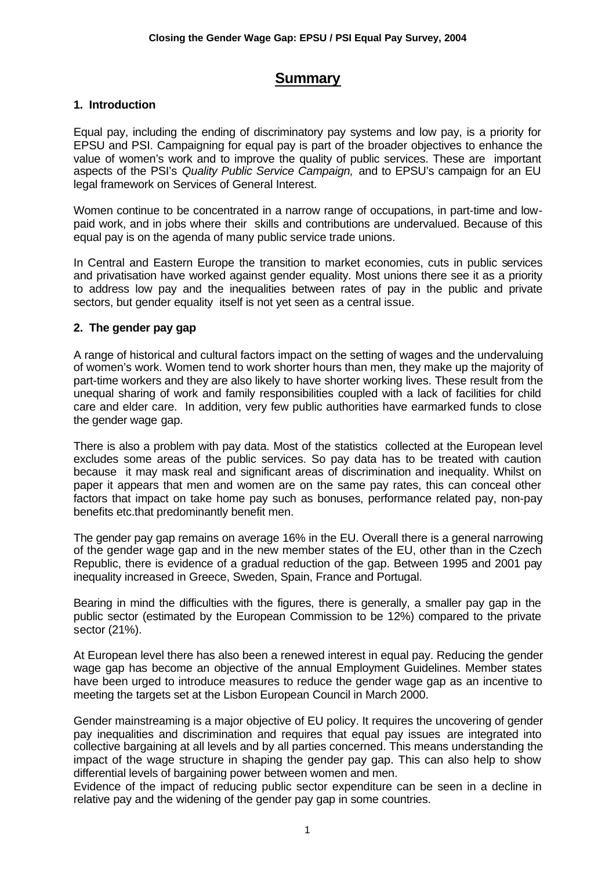# **Summary**

## **1. Introduction**

Equal pay, including the ending of discriminatory pay systems and low pay, is a priority for EPSU and PSI. Campaigning for equal pay is part of the broader objectives to enhance the value of women's work and to improve the quality of public services. These are important aspects of the PSI's *Quality Public Service Campaign,* and to EPSU's campaign for an EU legal framework on Services of General Interest.

Women continue to be concentrated in a narrow range of occupations, in part-time and lowpaid work, and in jobs where their skills and contributions are undervalued. Because of this equal pay is on the agenda of many public service trade unions.

In Central and Eastern Europe the transition to market economies, cuts in public services and privatisation have worked against gender equality. Most unions there see it as a priority to address low pay and the inequalities between rates of pay in the public and private sectors, but gender equality itself is not yet seen as a central issue.

## **2. The gender pay gap**

A range of historical and cultural factors impact on the setting of wages and the undervaluing of women's work. Women tend to work shorter hours than men, they make up the majority of part-time workers and they are also likely to have shorter working lives. These result from the unequal sharing of work and family responsibilities coupled with a lack of facilities for child care and elder care. In addition, very few public authorities have earmarked funds to close the gender wage gap.

There is also a problem with pay data. Most of the statistics collected at the European level excludes some areas of the public services. So pay data has to be treated with caution because it may mask real and significant areas of discrimination and inequality. Whilst on paper it appears that men and women are on the same pay rates, this can conceal other factors that impact on take home pay such as bonuses, performance related pay, non-pay benefits etc.that predominantly benefit men.

The gender pay gap remains on average 16% in the EU. Overall there is a general narrowing of the gender wage gap and in the new member states of the EU, other than in the Czech Republic, there is evidence of a gradual reduction of the gap. Between 1995 and 2001 pay inequality increased in Greece, Sweden, Spain, France and Portugal.

Bearing in mind the difficulties with the figures, there is generally, a smaller pay gap in the public sector (estimated by the European Commission to be 12%) compared to the private sector (21%).

At European level there has also been a renewed interest in equal pay. Reducing the gender wage gap has become an objective of the annual Employment Guidelines. Member states have been urged to introduce measures to reduce the gender wage gap as an incentive to meeting the targets set at the Lisbon European Council in March 2000.

Gender mainstreaming is a major objective of EU policy. It requires the uncovering of gender pay inequalities and discrimination and requires that equal pay issues are integrated into collective bargaining at all levels and by all parties concerned. This means understanding the impact of the wage structure in shaping the gender pay gap. This can also help to show differential levels of bargaining power between women and men.

Evidence of the impact of reducing public sector expenditure can be seen in a decline in relative pay and the widening of the gender pay gap in some countries.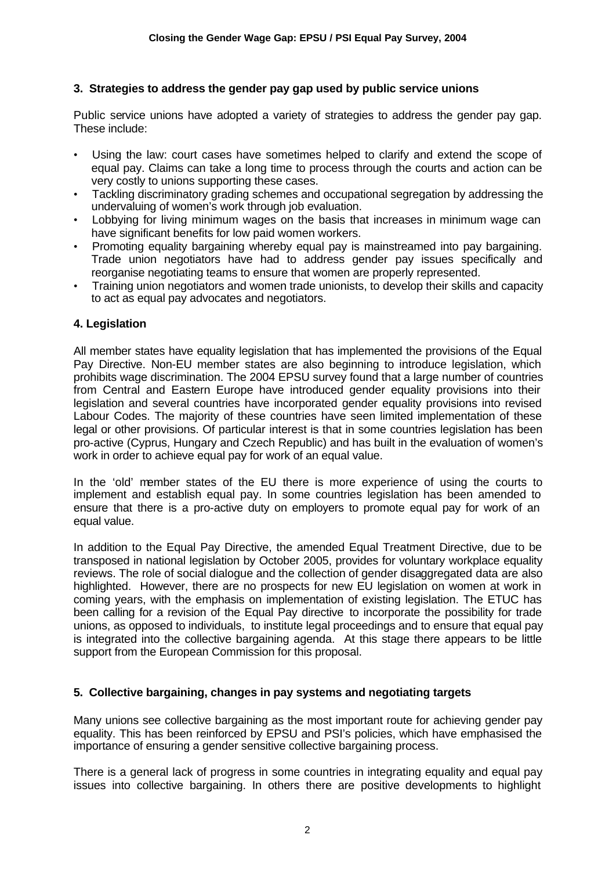### **3. Strategies to address the gender pay gap used by public service unions**

Public service unions have adopted a variety of strategies to address the gender pay gap. These include:

- Using the law: court cases have sometimes helped to clarify and extend the scope of equal pay. Claims can take a long time to process through the courts and action can be very costly to unions supporting these cases.
- Tackling discriminatory grading schemes and occupational segregation by addressing the undervaluing of women's work through job evaluation.
- Lobbying for living minimum wages on the basis that increases in minimum wage can have significant benefits for low paid women workers.
- Promoting equality bargaining whereby equal pay is mainstreamed into pay bargaining. Trade union negotiators have had to address gender pay issues specifically and reorganise negotiating teams to ensure that women are properly represented.
- Training union negotiators and women trade unionists, to develop their skills and capacity to act as equal pay advocates and negotiators.

#### **4. Legislation**

All member states have equality legislation that has implemented the provisions of the Equal Pay Directive. Non-EU member states are also beginning to introduce legislation, which prohibits wage discrimination. The 2004 EPSU survey found that a large number of countries from Central and Eastern Europe have introduced gender equality provisions into their legislation and several countries have incorporated gender equality provisions into revised Labour Codes. The majority of these countries have seen limited implementation of these legal or other provisions. Of particular interest is that in some countries legislation has been pro-active (Cyprus, Hungary and Czech Republic) and has built in the evaluation of women's work in order to achieve equal pay for work of an equal value.

In the 'old' member states of the EU there is more experience of using the courts to implement and establish equal pay. In some countries legislation has been amended to ensure that there is a pro-active duty on employers to promote equal pay for work of an equal value.

In addition to the Equal Pay Directive, the amended Equal Treatment Directive, due to be transposed in national legislation by October 2005, provides for voluntary workplace equality reviews. The role of social dialogue and the collection of gender disaggregated data are also highlighted. However, there are no prospects for new EU legislation on women at work in coming years, with the emphasis on implementation of existing legislation. The ETUC has been calling for a revision of the Equal Pay directive to incorporate the possibility for trade unions, as opposed to individuals, to institute legal proceedings and to ensure that equal pay is integrated into the collective bargaining agenda. At this stage there appears to be little support from the European Commission for this proposal.

#### **5. Collective bargaining, changes in pay systems and negotiating targets**

Many unions see collective bargaining as the most important route for achieving gender pay equality. This has been reinforced by EPSU and PSI's policies, which have emphasised the importance of ensuring a gender sensitive collective bargaining process.

There is a general lack of progress in some countries in integrating equality and equal pay issues into collective bargaining. In others there are positive developments to highlight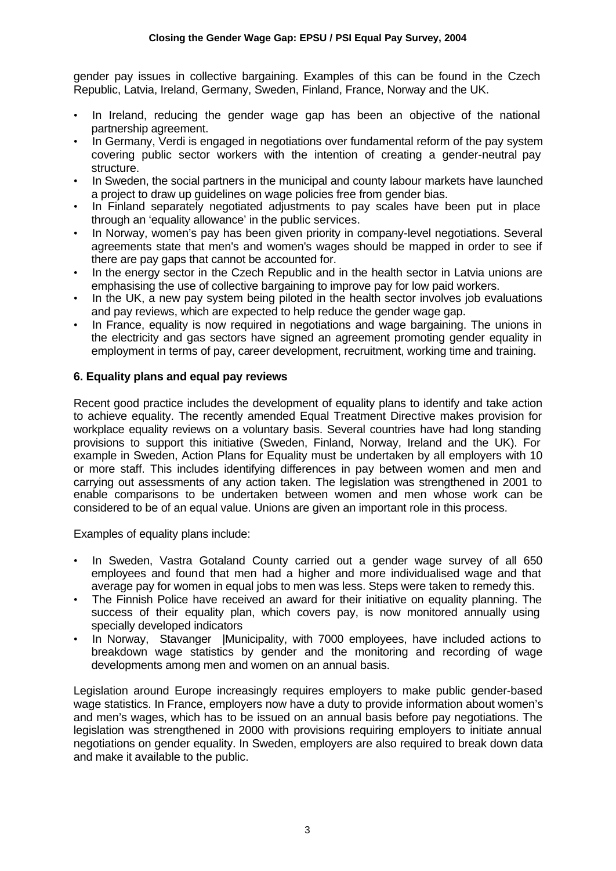gender pay issues in collective bargaining. Examples of this can be found in the Czech Republic, Latvia, Ireland, Germany, Sweden, Finland, France, Norway and the UK.

- In Ireland, reducing the gender wage gap has been an objective of the national partnership agreement.
- In Germany, Verdi is engaged in negotiations over fundamental reform of the pay system covering public sector workers with the intention of creating a gender-neutral pay structure.
- In Sweden, the social partners in the municipal and county labour markets have launched a project to draw up guidelines on wage policies free from gender bias.
- In Finland separately negotiated adjustments to pay scales have been put in place through an 'equality allowance' in the public services.
- In Norway, women's pay has been given priority in company-level negotiations. Several agreements state that men's and women's wages should be mapped in order to see if there are pay gaps that cannot be accounted for.
- In the energy sector in the Czech Republic and in the health sector in Latvia unions are emphasising the use of collective bargaining to improve pay for low paid workers.
- In the UK, a new pay system being piloted in the health sector involves job evaluations and pay reviews, which are expected to help reduce the gender wage gap.
- In France, equality is now required in negotiations and wage bargaining. The unions in the electricity and gas sectors have signed an agreement promoting gender equality in employment in terms of pay, career development, recruitment, working time and training.

# **6. Equality plans and equal pay reviews**

Recent good practice includes the development of equality plans to identify and take action to achieve equality. The recently amended Equal Treatment Directive makes provision for workplace equality reviews on a voluntary basis. Several countries have had long standing provisions to support this initiative (Sweden, Finland, Norway, Ireland and the UK). For example in Sweden, Action Plans for Equality must be undertaken by all employers with 10 or more staff. This includes identifying differences in pay between women and men and carrying out assessments of any action taken. The legislation was strengthened in 2001 to enable comparisons to be undertaken between women and men whose work can be considered to be of an equal value. Unions are given an important role in this process.

Examples of equality plans include:

- In Sweden, Vastra Gotaland County carried out a gender wage survey of all 650 employees and found that men had a higher and more individualised wage and that average pay for women in equal jobs to men was less. Steps were taken to remedy this.
- The Finnish Police have received an award for their initiative on equality planning. The success of their equality plan, which covers pay, is now monitored annually using specially developed indicators
- In Norway, Stavanger |Municipality, with 7000 employees, have included actions to breakdown wage statistics by gender and the monitoring and recording of wage developments among men and women on an annual basis.

Legislation around Europe increasingly requires employers to make public gender-based wage statistics. In France, employers now have a duty to provide information about women's and men's wages, which has to be issued on an annual basis before pay negotiations. The legislation was strengthened in 2000 with provisions requiring employers to initiate annual negotiations on gender equality. In Sweden, employers are also required to break down data and make it available to the public.